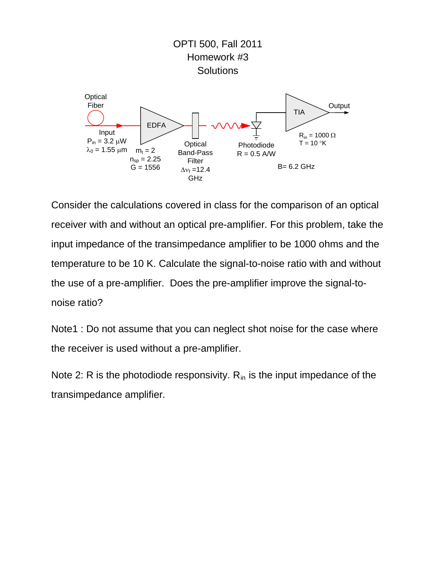

Consider the calculations covered in class for the comparison of an optical receiver with and without an optical pre-amplifier. For this problem, take the input impedance of the transimpedance amplifier to be 1000 ohms and the temperature to be 10 K. Calculate the signal-to-noise ratio with and without the use of a pre-amplifier. Does the pre-amplifier improve the signal-tonoise ratio?

Note1 : Do not assume that you can neglect shot noise for the case where the receiver is used without a pre-amplifier.

Note 2: R is the photodiode responsivity.  $R_{in}$  is the input impedance of the transimpedance amplifier.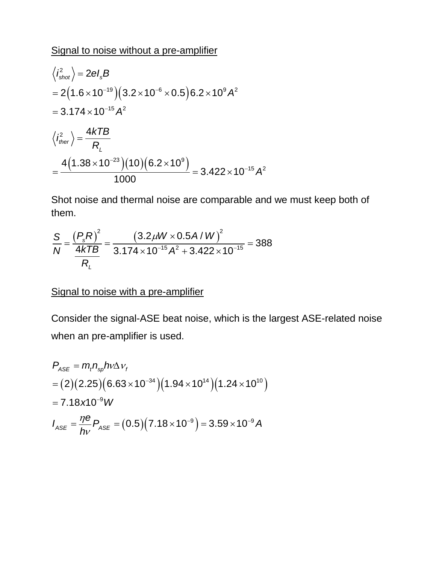## Signal to noise without a pre-amplifier

$$
\langle i_{\text{shot}}^2 \rangle = 2eI_sB
$$
  
= 2(1.6×10<sup>-19</sup>)(3.2×10<sup>-6</sup>×0.5)6.2×10<sup>9</sup>A<sup>2</sup>  
= 3.174×10<sup>-15</sup>A<sup>2</sup>  

$$
\langle i_{\text{ther}}^2 \rangle = \frac{4kTB}{R_L}
$$
  
= 
$$
\frac{4(1.38×10^{-23})(10)(6.2×10^9)}{1000} = 3.422×10^{-15}A^2
$$

Shot noise and thermal noise are comparable and we must keep both of them.

$$
\frac{S}{N} = \frac{\left(P_s R\right)^2}{\frac{4kTB}{R_L}} = \frac{\left(3.2 \mu W \times 0.5 A / W\right)^2}{3.174 \times 10^{-15} A^2 + 3.422 \times 10^{-15}} = 388
$$

## Signal to noise with a pre-amplifier

Consider the signal-ASE beat noise, which is the largest ASE-related noise when an pre-amplifier is used.

$$
P_{\text{ASE}} = m_t n_{sp} \hbar v \Delta v_t
$$
  
= (2)(2.25)(6.63×10<sup>-34</sup>)(1.94×10<sup>14</sup>)(1.24×10<sup>10</sup>)  
= 7.18×10<sup>-9</sup> W  

$$
I_{\text{ASE}} = \frac{\eta e}{h v} P_{\text{ASE}} = (0.5)(7.18 \times 10^{-9}) = 3.59 \times 10^{-9} A
$$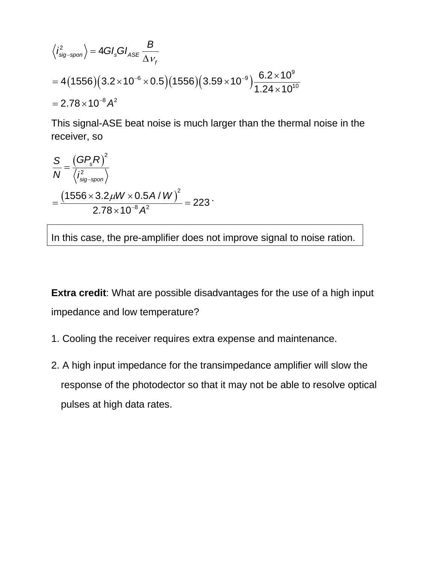$$
\langle i_{\text{sig-spon}}^2 \rangle = 4GI_sGI_{ASE} \frac{B}{\Delta v_f}
$$
  
= 4(1556)(3.2×10<sup>-6</sup>×0.5)(1556)(3.59×10<sup>-9</sup>) $\frac{6.2×10^9}{1.24×10^{10}}$   
= 2.78×10<sup>-8</sup> A<sup>2</sup>

This signal-ASE beat noise is much larger than the thermal noise in the receiver, so

$$
\frac{S}{N} = \frac{(GP_s R)^2}{\langle i_{sig-spon}^2 \rangle} = \frac{(1556 \times 3.2 \mu W \times 0.5 A/W)^2}{2.78 \times 10^{-8} A^2} = 223
$$

In this case, the pre-amplifier does not improve signal to noise ration.

**Extra credit**: What are possible disadvantages for the use of a high input impedance and low temperature?

- 1. Cooling the receiver requires extra expense and maintenance.
- 2. A high input impedance for the transimpedance amplifier will slow the response of the photodector so that it may not be able to resolve optical pulses at high data rates.